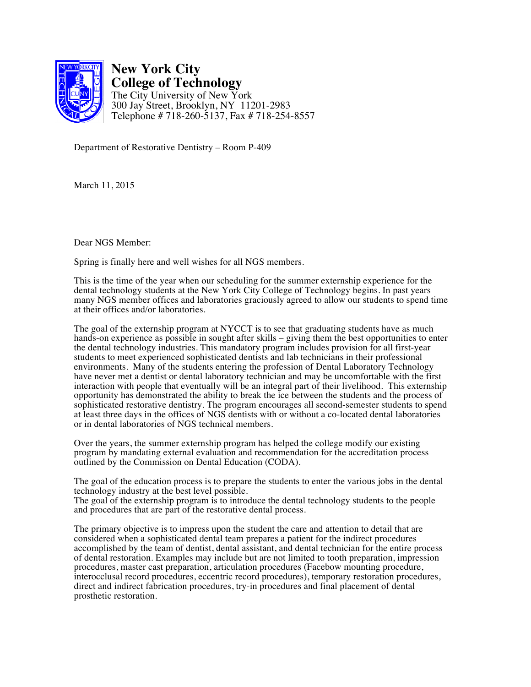

**New York City College of Technology** The City University of New York 300 Jay Street, Brooklyn, NY 11201-2983 Telephone # 718-260-5137, Fax # 718-254-8557

Department of Restorative Dentistry – Room P-409

March 11, 2015

Dear NGS Member:

Spring is finally here and well wishes for all NGS members.

This is the time of the year when our scheduling for the summer externship experience for the dental technology students at the New York City College of Technology begins. In past years many NGS member offices and laboratories graciously agreed to allow our students to spend time at their offices and/or laboratories.

The goal of the externship program at NYCCT is to see that graduating students have as much hands-on experience as possible in sought after skills – giving them the best opportunities to enter the dental technology industries. This mandatory program includes provision for all first-year students to meet experienced sophisticated dentists and lab technicians in their professional environments. Many of the students entering the profession of Dental Laboratory Technology have never met a dentist or dental laboratory technician and may be uncomfortable with the first interaction with people that eventually will be an integral part of their livelihood. This externship opportunity has demonstrated the ability to break the ice between the students and the process of sophisticated restorative dentistry. The program encourages all second-semester students to spend at least three days in the offices of NGS dentists with or without a co-located dental laboratories or in dental laboratories of NGS technical members.

Over the years, the summer externship program has helped the college modify our existing program by mandating external evaluation and recommendation for the accreditation process outlined by the Commission on Dental Education (CODA).

The goal of the education process is to prepare the students to enter the various jobs in the dental technology industry at the best level possible.

The goal of the externship program is to introduce the dental technology students to the people and procedures that are part of the restorative dental process.

The primary objective is to impress upon the student the care and attention to detail that are considered when a sophisticated dental team prepares a patient for the indirect procedures accomplished by the team of dentist, dental assistant, and dental technician for the entire process of dental restoration. Examples may include but are not limited to tooth preparation, impression procedures, master cast preparation, articulation procedures (Facebow mounting procedure, interocclusal record procedures, eccentric record procedures), temporary restoration procedures, direct and indirect fabrication procedures, try-in procedures and final placement of dental prosthetic restoration.